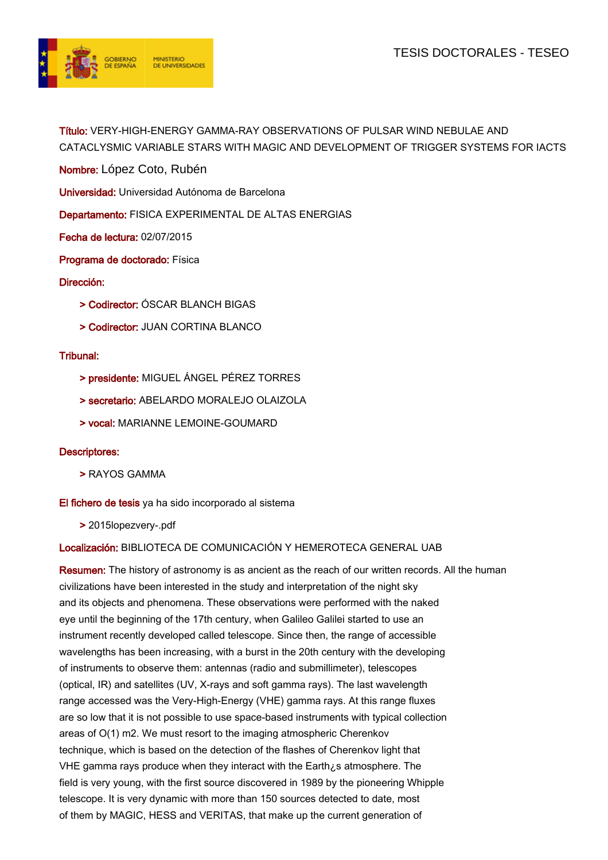

Título: VERY-HIGH-ENERGY GAMMA-RAY OBSERVATIONS OF PULSAR WIND NEBULAE AND CATACLYSMIC VARIABLE STARS WITH MAGIC AND DEVELOPMENT OF TRIGGER SYSTEMS FOR IACTS

Nombre: López Coto, Rubén

Universidad: Universidad Autónoma de Barcelona

Departamento: FISICA EXPERIMENTAL DE ALTAS ENERGIAS

Fecha de lectura: 02/07/2015

Programa de doctorado: Física

Dirección:

- > Codirector: ÓSCAR BLANCH BIGAS
- > Codirector: JUAN CORTINA BLANCO

## Tribunal:

- > presidente: MIGUEL ÁNGEL PÉREZ TORRES
- > secretario: ABELARDO MORALEJO OLAIZOLA
- > vocal: MARIANNE LEMOINE-GOUMARD

## Descriptores:

> RAYOS GAMMA

## El fichero de tesis ya ha sido incorporado al sistema

> 2015lopezvery-.pdf

## Localización: BIBLIOTECA DE COMUNICACIÓN Y HEMEROTECA GENERAL UAB

Resumen: The history of astronomy is as ancient as the reach of our written records. All the human civilizations have been interested in the study and interpretation of the night sky and its objects and phenomena. These observations were performed with the naked eye until the beginning of the 17th century, when Galileo Galilei started to use an instrument recently developed called telescope. Since then, the range of accessible wavelengths has been increasing, with a burst in the 20th century with the developing of instruments to observe them: antennas (radio and submillimeter), telescopes (optical, IR) and satellites (UV, X-rays and soft gamma rays). The last wavelength range accessed was the Very-High-Energy (VHE) gamma rays. At this range fluxes are so low that it is not possible to use space-based instruments with typical collection areas of O(1) m2. We must resort to the imaging atmospheric Cherenkov technique, which is based on the detection of the flashes of Cherenkov light that VHE gamma rays produce when they interact with the Earth¿s atmosphere. The field is very young, with the first source discovered in 1989 by the pioneering Whipple telescope. It is very dynamic with more than 150 sources detected to date, most of them by MAGIC, HESS and VERITAS, that make up the current generation of